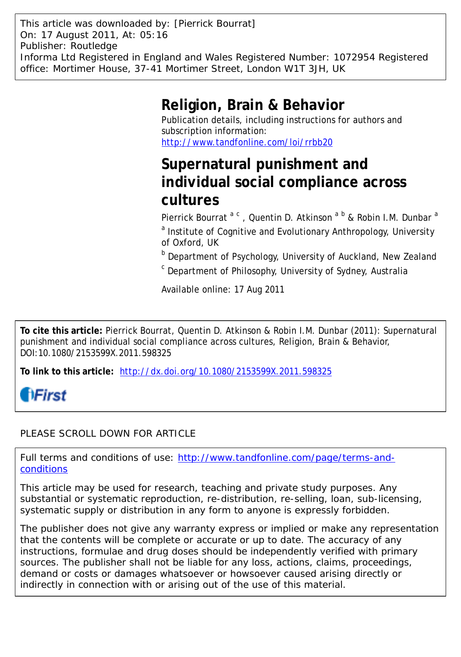This article was downloaded by: [Pierrick Bourrat] On: 17 August 2011, At: 05:16 Publisher: Routledge Informa Ltd Registered in England and Wales Registered Number: 1072954 Registered office: Mortimer House, 37-41 Mortimer Street, London W1T 3JH, UK

## **Religion, Brain & Behavior**

Publication details, including instructions for authors and subscription information: <http://www.tandfonline.com/loi/rrbb20>

# **Supernatural punishment and individual social compliance across cultures**

Pierrick Bourrat <sup>a c</sup>, Quentin D. Atkinson <sup>a b</sup> & Robin I.M. Dunbar <sup>a</sup> <sup>a</sup> Institute of Cognitive and Evolutionary Anthropology, University of Oxford, UK

**b** Department of Psychology, University of Auckland, New Zealand

<sup>c</sup> Department of Philosophy, University of Sydney, Australia

Available online: 17 Aug 2011

**To cite this article:** Pierrick Bourrat, Quentin D. Atkinson & Robin I.M. Dunbar (2011): Supernatural punishment and individual social compliance across cultures, Religion, Brain & Behavior, DOI:10.1080/2153599X.2011.598325

**To link to this article:** <http://dx.doi.org/10.1080/2153599X.2011.598325>

# **fiFirst**

## PLEASE SCROLL DOWN FOR ARTICLE

Full terms and conditions of use: [http://www.tandfonline.com/page/terms-and](http://www.tandfonline.com/page/terms-and-conditions)[conditions](http://www.tandfonline.com/page/terms-and-conditions)

This article may be used for research, teaching and private study purposes. Any substantial or systematic reproduction, re-distribution, re-selling, loan, sub-licensing, systematic supply or distribution in any form to anyone is expressly forbidden.

The publisher does not give any warranty express or implied or make any representation that the contents will be complete or accurate or up to date. The accuracy of any instructions, formulae and drug doses should be independently verified with primary sources. The publisher shall not be liable for any loss, actions, claims, proceedings, demand or costs or damages whatsoever or howsoever caused arising directly or indirectly in connection with or arising out of the use of this material.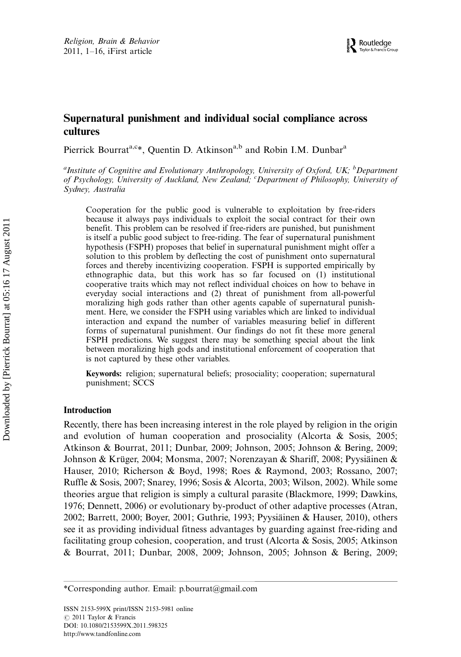### Supernatural punishment and individual social compliance across cultures

Pierrick Bourrat<sup>a,c\*</sup>, Quentin D. Atkinson<sup>a,b</sup> and Robin I.M. Dunbar<sup>a</sup>

<sup>a</sup>Institute of Cognitive and Evolutionary Anthropology, University of Oxford, UK; <sup>b</sup>Department<br>of Psychology, University of Auckland, New Zealand; <sup>c</sup>Department of Philosophy, University of Sydney, Australia

Cooperation for the public good is vulnerable to exploitation by free-riders because it always pays individuals to exploit the social contract for their own benefit. This problem can be resolved if free-riders are punished, but punishment is itself a public good subject to free-riding. The fear of supernatural punishment hypothesis (FSPH) proposes that belief in supernatural punishment might offer a solution to this problem by deflecting the cost of punishment onto supernatural forces and thereby incentivizing cooperation. FSPH is supported empirically by ethnographic data, but this work has so far focused on (1) institutional cooperative traits which may not reflect individual choices on how to behave in everyday social interactions and (2) threat of punishment from all-powerful moralizing high gods rather than other agents capable of supernatural punishment. Here, we consider the FSPH using variables which are linked to individual interaction and expand the number of variables measuring belief in different forms of supernatural punishment. Our findings do not fit these more general FSPH predictions. We suggest there may be something special about the link between moralizing high gods and institutional enforcement of cooperation that is not captured by these other variables.

Keywords: religion; supernatural beliefs; prosociality; cooperation; supernatural punishment; SCCS

#### Introduction

Recently, there has been increasing interest in the role played by religion in the origin and evolution of human cooperation and prosociality (Alcorta & Sosis, 2005; Atkinson & Bourrat, 2011; Dunbar, 2009; Johnson, 2005; Johnson & Bering, 2009; Johnson & Krüger, 2004; Monsma, 2007; Norenzayan & Shariff, 2008; Pyysiainen & Hauser, 2010; Richerson & Boyd, 1998; Roes & Raymond, 2003; Rossano, 2007; Ruffle & Sosis, 2007; Snarey, 1996; Sosis & Alcorta, 2003; Wilson, 2002). While some theories argue that religion is simply a cultural parasite (Blackmore, 1999; Dawkins, 1976; Dennett, 2006) or evolutionary by-product of other adaptive processes (Atran, 2002; Barrett, 2000; Boyer, 2001; Guthrie, 1993; Pyysiainen & Hauser, 2010), others see it as providing individual fitness advantages by guarding against free-riding and facilitating group cohesion, cooperation, and trust (Alcorta & Sosis, 2005; Atkinson & Bourrat, 2011; Dunbar, 2008, 2009; Johnson, 2005; Johnson & Bering, 2009;

<sup>\*</sup>Corresponding author. Email: p.bourrat@gmail.com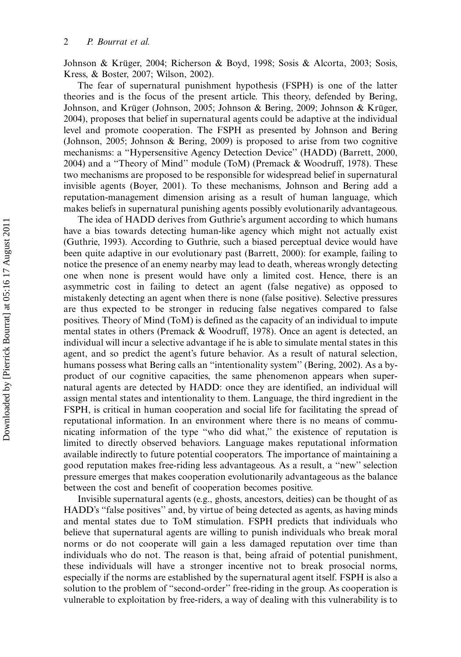Johnson & Krüger, 2004; Richerson & Boyd, 1998; Sosis & Alcorta, 2003; Sosis, Kress, & Boster, 2007; Wilson, 2002).

The fear of supernatural punishment hypothesis (FSPH) is one of the latter theories and is the focus of the present article. This theory, defended by Bering, Johnson, and Krüger (Johnson, 2005; Johnson & Bering, 2009; Johnson & Krüger, 2004), proposes that belief in supernatural agents could be adaptive at the individual level and promote cooperation. The FSPH as presented by Johnson and Bering (Johnson, 2005; Johnson & Bering, 2009) is proposed to arise from two cognitive mechanisms: a ''Hypersensitive Agency Detection Device'' (HADD) (Barrett, 2000, 2004) and a ''Theory of Mind'' module (ToM) (Premack & Woodruff, 1978). These two mechanisms are proposed to be responsible for widespread belief in supernatural invisible agents (Boyer, 2001). To these mechanisms, Johnson and Bering add a reputation-management dimension arising as a result of human language, which makes beliefs in supernatural punishing agents possibly evolutionarily advantageous.

The idea of HADD derives from Guthrie's argument according to which humans have a bias towards detecting human-like agency which might not actually exist (Guthrie, 1993). According to Guthrie, such a biased perceptual device would have been quite adaptive in our evolutionary past (Barrett, 2000): for example, failing to notice the presence of an enemy nearby may lead to death, whereas wrongly detecting one when none is present would have only a limited cost. Hence, there is an asymmetric cost in failing to detect an agent (false negative) as opposed to mistakenly detecting an agent when there is none (false positive). Selective pressures are thus expected to be stronger in reducing false negatives compared to false positives. Theory of Mind (ToM) is defined as the capacity of an individual to impute mental states in others (Premack & Woodruff, 1978). Once an agent is detected, an individual will incur a selective advantage if he is able to simulate mental states in this agent, and so predict the agent's future behavior. As a result of natural selection, humans possess what Bering calls an ''intentionality system'' (Bering, 2002). As a byproduct of our cognitive capacities, the same phenomenon appears when supernatural agents are detected by HADD: once they are identified, an individual will assign mental states and intentionality to them. Language, the third ingredient in the FSPH, is critical in human cooperation and social life for facilitating the spread of reputational information. In an environment where there is no means of communicating information of the type ''who did what,'' the existence of reputation is limited to directly observed behaviors. Language makes reputational information available indirectly to future potential cooperators. The importance of maintaining a good reputation makes free-riding less advantageous. As a result, a ''new'' selection pressure emerges that makes cooperation evolutionarily advantageous as the balance between the cost and benefit of cooperation becomes positive.

Invisible supernatural agents (e.g., ghosts, ancestors, deities) can be thought of as HADD's ''false positives'' and, by virtue of being detected as agents, as having minds and mental states due to ToM stimulation. FSPH predicts that individuals who believe that supernatural agents are willing to punish individuals who break moral norms or do not cooperate will gain a less damaged reputation over time than individuals who do not. The reason is that, being afraid of potential punishment, these individuals will have a stronger incentive not to break prosocial norms, especially if the norms are established by the supernatural agent itself. FSPH is also a solution to the problem of ''second-order'' free-riding in the group. As cooperation is vulnerable to exploitation by free-riders, a way of dealing with this vulnerability is to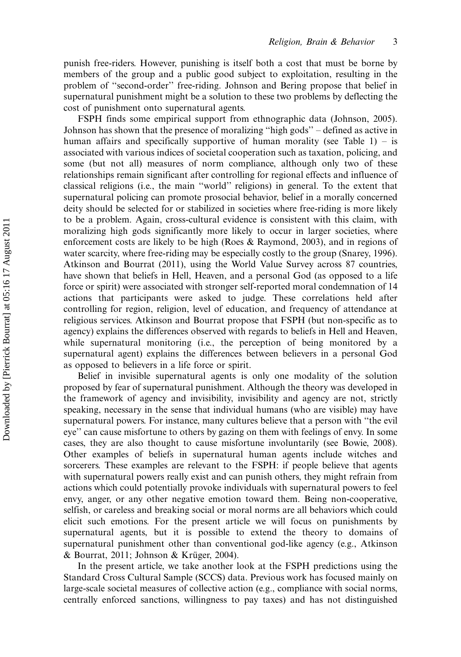punish free-riders. However, punishing is itself both a cost that must be borne by members of the group and a public good subject to exploitation, resulting in the problem of ''second-order'' free-riding. Johnson and Bering propose that belief in supernatural punishment might be a solution to these two problems by deflecting the cost of punishment onto supernatural agents.

FSPH finds some empirical support from ethnographic data (Johnson, 2005). Johnson has shown that the presence of moralizing ''high gods'' defined as active in human affairs and specifically supportive of human morality (see Table 1) – is associated with various indices of societal cooperation such as taxation, policing, and some (but not all) measures of norm compliance, although only two of these relationships remain significant after controlling for regional effects and influence of classical religions (i.e., the main ''world'' religions) in general. To the extent that supernatural policing can promote prosocial behavior, belief in a morally concerned deity should be selected for or stabilized in societies where free-riding is more likely to be a problem. Again, cross-cultural evidence is consistent with this claim, with moralizing high gods significantly more likely to occur in larger societies, where enforcement costs are likely to be high (Roes & Raymond, 2003), and in regions of water scarcity, where free-riding may be especially costly to the group (Snarey, 1996). Atkinson and Bourrat (2011), using the World Value Survey across 87 countries, have shown that beliefs in Hell, Heaven, and a personal God (as opposed to a life force or spirit) were associated with stronger self-reported moral condemnation of 14 actions that participants were asked to judge. These correlations held after controlling for region, religion, level of education, and frequency of attendance at religious services. Atkinson and Bourrat propose that FSPH (but non-specific as to agency) explains the differences observed with regards to beliefs in Hell and Heaven, while supernatural monitoring (i.e., the perception of being monitored by a supernatural agent) explains the differences between believers in a personal God as opposed to believers in a life force or spirit.

Belief in invisible supernatural agents is only one modality of the solution proposed by fear of supernatural punishment. Although the theory was developed in the framework of agency and invisibility, invisibility and agency are not, strictly speaking, necessary in the sense that individual humans (who are visible) may have supernatural powers. For instance, many cultures believe that a person with ''the evil eye'' can cause misfortune to others by gazing on them with feelings of envy. In some cases, they are also thought to cause misfortune involuntarily (see Bowie, 2008). Other examples of beliefs in supernatural human agents include witches and sorcerers. These examples are relevant to the FSPH: if people believe that agents with supernatural powers really exist and can punish others, they might refrain from actions which could potentially provoke individuals with supernatural powers to feel envy, anger, or any other negative emotion toward them. Being non-cooperative, selfish, or careless and breaking social or moral norms are all behaviors which could elicit such emotions. For the present article we will focus on punishments by supernatural agents, but it is possible to extend the theory to domains of supernatural punishment other than conventional god-like agency (e.g., Atkinson  $& Bourrat, 2011; Johnson & Krüger, 2004).$ 

In the present article, we take another look at the FSPH predictions using the Standard Cross Cultural Sample (SCCS) data. Previous work has focused mainly on large-scale societal measures of collective action (e.g., compliance with social norms, centrally enforced sanctions, willingness to pay taxes) and has not distinguished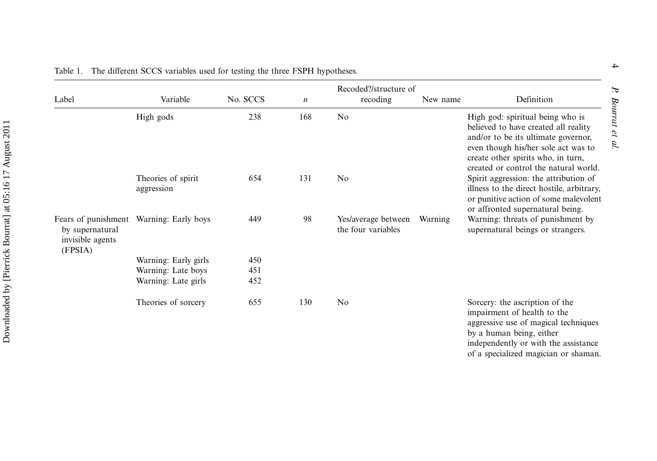| Label                                          | Variable                                | No. SCCS | $\boldsymbol{n}$ | Recoded?/structure of<br>recoding         | New name | Definition                                                                                                                                                                                                                            |
|------------------------------------------------|-----------------------------------------|----------|------------------|-------------------------------------------|----------|---------------------------------------------------------------------------------------------------------------------------------------------------------------------------------------------------------------------------------------|
|                                                | High gods                               | 238      | 168              | No.                                       |          | High god: spiritual being who is<br>believed to have created all reality<br>and/or to be its ultimate governor,<br>even though his/her sole act was to<br>create other spirits who, in turn,<br>created or control the natural world. |
|                                                | Theories of spirit<br>aggression        | 654      | 131              | No.                                       |          | Spirit aggression: the attribution of<br>illness to the direct hostile, arbitrary,<br>or punitive action of some malevolent<br>or affronted supernatural being.                                                                       |
| by supernatural<br>invisible agents<br>(FPSIA) | Fears of punishment Warning: Early boys | 449      | 98               | Yes/average between<br>the four variables | Warning  | Warning: threats of punishment by<br>supernatural beings or strangers.                                                                                                                                                                |
|                                                | Warning: Early girls                    | 450      |                  |                                           |          |                                                                                                                                                                                                                                       |
|                                                | Warning: Late boys                      | 451      |                  |                                           |          |                                                                                                                                                                                                                                       |
|                                                | Warning: Late girls                     | 452      |                  |                                           |          |                                                                                                                                                                                                                                       |
|                                                | Theories of sorcery                     | 655      | 130              | N <sub>o</sub>                            |          | Sorcery: the ascription of the<br>impairment of health to the<br>aggressive use of magical techniques                                                                                                                                 |

P. Bourrat et al.

Bourrat et al.

by <sup>a</sup> human being, either

independently or with the assistance of <sup>a</sup> specialized magician or shaman.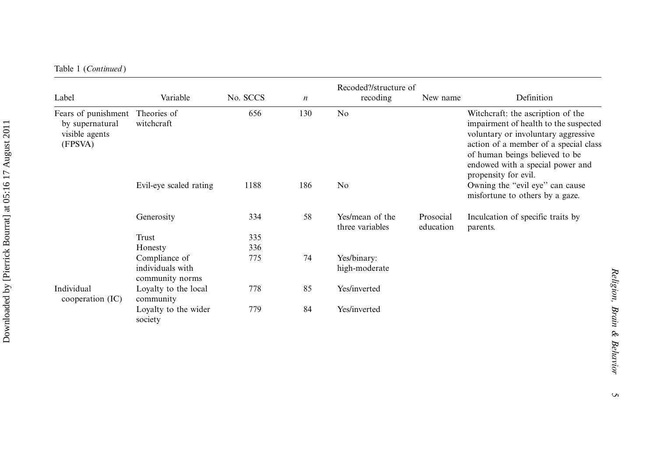| Table 1 (Continued) |  |
|---------------------|--|
|---------------------|--|

| Label                                                                           | Variable                                             | No. SCCS | $\boldsymbol{n}$ | Recoded?/structure of<br>recoding  | New name               | Definition                                                                                                                                                                                                                                               |
|---------------------------------------------------------------------------------|------------------------------------------------------|----------|------------------|------------------------------------|------------------------|----------------------------------------------------------------------------------------------------------------------------------------------------------------------------------------------------------------------------------------------------------|
| Fears of punishment Theories of<br>by supernatural<br>visible agents<br>(FPSVA) | witchcraft                                           | 656      | 130              | No                                 |                        | Witchcraft: the ascription of the<br>impairment of health to the suspected<br>voluntary or involuntary aggressive<br>action of a member of a special class<br>of human beings believed to be<br>endowed with a special power and<br>propensity for evil. |
|                                                                                 | Evil-eye scaled rating                               | 1188     | 186              | N <sub>o</sub>                     |                        | Owning the "evil eye" can cause<br>misfortune to others by a gaze.                                                                                                                                                                                       |
|                                                                                 | Generosity                                           | 334      | 58               | Yes/mean of the<br>three variables | Prosocial<br>education | Inculcation of specific traits by<br>parents.                                                                                                                                                                                                            |
|                                                                                 | Trust                                                | 335      |                  |                                    |                        |                                                                                                                                                                                                                                                          |
|                                                                                 | Honesty                                              | 336      |                  |                                    |                        |                                                                                                                                                                                                                                                          |
|                                                                                 | Compliance of<br>individuals with<br>community norms | 775      | 74               | Yes/binary:<br>high-moderate       |                        |                                                                                                                                                                                                                                                          |
| Individual<br>cooperation $(IC)$                                                | Loyalty to the local<br>community                    | 778      | 85               | Yes/inverted                       |                        |                                                                                                                                                                                                                                                          |
|                                                                                 | Loyalty to the wider<br>society                      | 779      | 84               | Yes/inverted                       |                        |                                                                                                                                                                                                                                                          |

 $\sigma$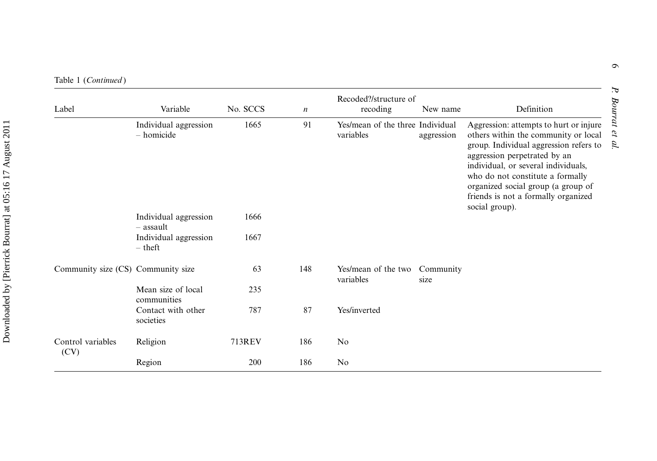Table 1 (Continued )

| Label                              | Variable                              | No. SCCS | $\boldsymbol{n}$ | Recoded?/structure of<br>recoding             | New name          | Definition                                                                                                                                                                                                                                                                                                                         |
|------------------------------------|---------------------------------------|----------|------------------|-----------------------------------------------|-------------------|------------------------------------------------------------------------------------------------------------------------------------------------------------------------------------------------------------------------------------------------------------------------------------------------------------------------------------|
|                                    | Individual aggression<br>$-$ homicide | 1665     | 91               | Yes/mean of the three Individual<br>variables | aggression        | Aggression: attempts to hurt or injure<br>others within the community or local<br>group. Individual aggression refers to<br>aggression perpetrated by an<br>individual, or several individuals,<br>who do not constitute a formally<br>organized social group (a group of<br>friends is not a formally organized<br>social group). |
|                                    | Individual aggression<br>$-$ assault  | 1666     |                  |                                               |                   |                                                                                                                                                                                                                                                                                                                                    |
|                                    | Individual aggression<br>$-$ theft    | 1667     |                  |                                               |                   |                                                                                                                                                                                                                                                                                                                                    |
| Community size (CS) Community size |                                       | 63       | 148              | Yes/mean of the two<br>variables              | Community<br>size |                                                                                                                                                                                                                                                                                                                                    |
|                                    | Mean size of local<br>communities     | 235      |                  |                                               |                   |                                                                                                                                                                                                                                                                                                                                    |
|                                    | Contact with other<br>societies       | 787      | 87               | Yes/inverted                                  |                   |                                                                                                                                                                                                                                                                                                                                    |
| Control variables<br>(CV)          | Religion                              | 713REV   | 186              | No                                            |                   |                                                                                                                                                                                                                                                                                                                                    |
|                                    | Region                                | 200      | 186              | No                                            |                   |                                                                                                                                                                                                                                                                                                                                    |

P. Bourrat et al.

P. Bourrat et al.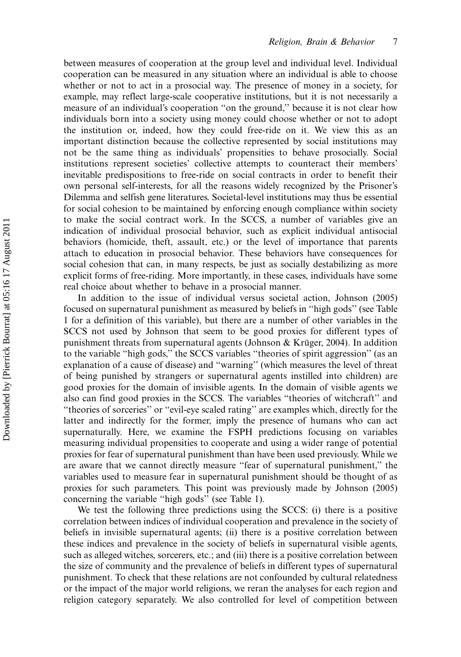between measures of cooperation at the group level and individual level. Individual cooperation can be measured in any situation where an individual is able to choose whether or not to act in a prosocial way. The presence of money in a society, for example, may reflect large-scale cooperative institutions, but it is not necessarily a measure of an individual's cooperation ''on the ground,'' because it is not clear how individuals born into a society using money could choose whether or not to adopt the institution or, indeed, how they could free-ride on it. We view this as an important distinction because the collective represented by social institutions may not be the same thing as individuals' propensities to behave prosocially. Social institutions represent societies' collective attempts to counteract their members' inevitable predispositions to free-ride on social contracts in order to benefit their own personal self-interests, for all the reasons widely recognized by the Prisoner's Dilemma and selfish gene literatures. Societal-level institutions may thus be essential for social cohesion to be maintained by enforcing enough compliance within society to make the social contract work. In the SCCS, a number of variables give an indication of individual prosocial behavior, such as explicit individual antisocial behaviors (homicide, theft, assault, etc.) or the level of importance that parents attach to education in prosocial behavior. These behaviors have consequences for social cohesion that can, in many respects, be just as socially destabilizing as more explicit forms of free-riding. More importantly, in these cases, individuals have some real choice about whether to behave in a prosocial manner.

In addition to the issue of individual versus societal action, Johnson (2005) focused on supernatural punishment as measured by beliefs in ''high gods'' (see Table 1 for a definition of this variable), but there are a number of other variables in the SCCS not used by Johnson that seem to be good proxies for different types of punishment threats from supernatural agents (Johnson & Krüger, 2004). In addition to the variable ''high gods,'' the SCCS variables ''theories of spirit aggression'' (as an explanation of a cause of disease) and ''warning'' (which measures the level of threat of being punished by strangers or supernatural agents instilled into children) are good proxies for the domain of invisible agents. In the domain of visible agents we also can find good proxies in the SCCS. The variables ''theories of witchcraft'' and ''theories of sorceries'' or ''evil-eye scaled rating'' are examples which, directly for the latter and indirectly for the former, imply the presence of humans who can act supernaturally. Here, we examine the FSPH predictions focusing on variables measuring individual propensities to cooperate and using a wider range of potential proxies for fear of supernatural punishment than have been used previously. While we are aware that we cannot directly measure ''fear of supernatural punishment,'' the variables used to measure fear in supernatural punishment should be thought of as proxies for such parameters. This point was previously made by Johnson (2005) concerning the variable ''high gods'' (see Table 1).

We test the following three predictions using the SCCS: (i) there is a positive correlation between indices of individual cooperation and prevalence in the society of beliefs in invisible supernatural agents; (ii) there is a positive correlation between these indices and prevalence in the society of beliefs in supernatural visible agents, such as alleged witches, sorcerers, etc.; and (iii) there is a positive correlation between the size of community and the prevalence of beliefs in different types of supernatural punishment. To check that these relations are not confounded by cultural relatedness or the impact of the major world religions, we reran the analyses for each region and religion category separately. We also controlled for level of competition between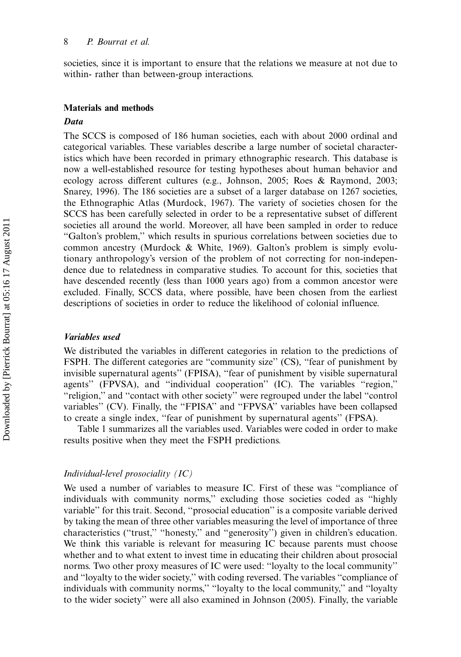societies, since it is important to ensure that the relations we measure at not due to within- rather than between-group interactions.

#### Materials and methods

#### **Data**

The SCCS is composed of 186 human societies, each with about 2000 ordinal and categorical variables. These variables describe a large number of societal characteristics which have been recorded in primary ethnographic research. This database is now a well-established resource for testing hypotheses about human behavior and ecology across different cultures (e.g., Johnson, 2005; Roes & Raymond, 2003; Snarey, 1996). The 186 societies are a subset of a larger database on 1267 societies, the Ethnographic Atlas (Murdock, 1967). The variety of societies chosen for the SCCS has been carefully selected in order to be a representative subset of different societies all around the world. Moreover, all have been sampled in order to reduce ''Galton's problem,'' which results in spurious correlations between societies due to common ancestry (Murdock & White, 1969). Galton's problem is simply evolutionary anthropology's version of the problem of not correcting for non-independence due to relatedness in comparative studies. To account for this, societies that have descended recently (less than 1000 years ago) from a common ancestor were excluded. Finally, SCCS data, where possible, have been chosen from the earliest descriptions of societies in order to reduce the likelihood of colonial influence.

#### Variables used

We distributed the variables in different categories in relation to the predictions of FSPH. The different categories are ''community size'' (CS), ''fear of punishment by invisible supernatural agents'' (FPISA), ''fear of punishment by visible supernatural agents'' (FPVSA), and ''individual cooperation'' (IC). The variables ''region,'' ''religion,'' and ''contact with other society'' were regrouped under the label ''control variables'' (CV). Finally, the ''FPISA'' and ''FPVSA'' variables have been collapsed to create a single index, ''fear of punishment by supernatural agents'' (FPSA).

Table 1 summarizes all the variables used. Variables were coded in order to make results positive when they meet the FSPH predictions.

#### Individual-level prosociality (IC)

We used a number of variables to measure IC. First of these was ''compliance of individuals with community norms,'' excluding those societies coded as ''highly variable'' for this trait. Second, ''prosocial education'' is a composite variable derived by taking the mean of three other variables measuring the level of importance of three characteristics ("trust," "honesty," and "generosity") given in children's education. We think this variable is relevant for measuring IC because parents must choose whether and to what extent to invest time in educating their children about prosocial norms. Two other proxy measures of IC were used: ''loyalty to the local community'' and ''loyalty to the wider society,'' with coding reversed. The variables ''compliance of individuals with community norms,'' ''loyalty to the local community,'' and ''loyalty to the wider society'' were all also examined in Johnson (2005). Finally, the variable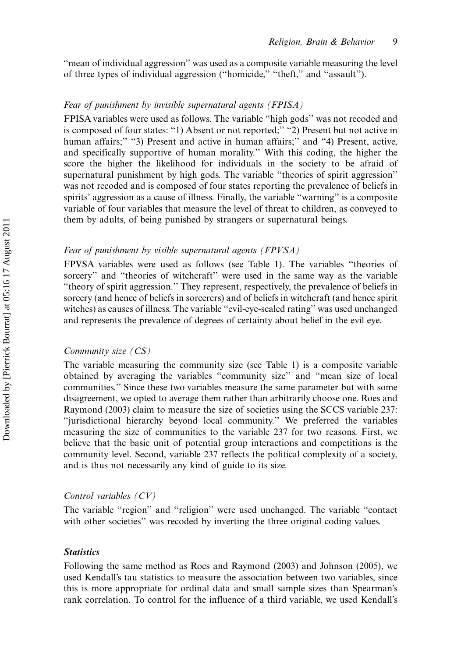''mean of individual aggression'' was used as a composite variable measuring the level of three types of individual aggression (''homicide,'' ''theft,'' and ''assault'').

#### Fear of punishment by invisible supernatural agents (FPISA)

FPISA variables were used as follows. The variable ''high gods'' was not recoded and is composed of four states: "1) Absent or not reported;" "2) Present but not active in human affairs;" "3) Present and active in human affairs;" and "4) Present, active, and specifically supportive of human morality.'' With this coding, the higher the score the higher the likelihood for individuals in the society to be afraid of supernatural punishment by high gods. The variable ''theories of spirit aggression'' was not recoded and is composed of four states reporting the prevalence of beliefs in spirits' aggression as a cause of illness. Finally, the variable "warning" is a composite variable of four variables that measure the level of threat to children, as conveyed to them by adults, of being punished by strangers or supernatural beings.

#### Fear of punishment by visible supernatural agents (FPVSA)

FPVSA variables were used as follows (see Table 1). The variables ''theories of sorcery" and "theories of witchcraft" were used in the same way as the variable ''theory of spirit aggression.'' They represent, respectively, the prevalence of beliefs in sorcery (and hence of beliefs in sorcerers) and of beliefs in witchcraft (and hence spirit witches) as causes of illness. The variable ''evil-eye-scaled rating'' was used unchanged and represents the prevalence of degrees of certainty about belief in the evil eye.

#### Community size (CS)

The variable measuring the community size (see Table 1) is a composite variable obtained by averaging the variables ''community size'' and ''mean size of local communities.'' Since these two variables measure the same parameter but with some disagreement, we opted to average them rather than arbitrarily choose one. Roes and Raymond (2003) claim to measure the size of societies using the SCCS variable 237: ''jurisdictional hierarchy beyond local community.'' We preferred the variables measuring the size of communities to the variable 237 for two reasons. First, we believe that the basic unit of potential group interactions and competitions is the community level. Second, variable 237 reflects the political complexity of a society, and is thus not necessarily any kind of guide to its size.

#### Control variables (CV)

The variable "region" and "religion" were used unchanged. The variable "contact with other societies'' was recoded by inverting the three original coding values.

#### **Statistics**

Following the same method as Roes and Raymond (2003) and Johnson (2005), we used Kendall's tau statistics to measure the association between two variables, since this is more appropriate for ordinal data and small sample sizes than Spearman's rank correlation. To control for the influence of a third variable, we used Kendall's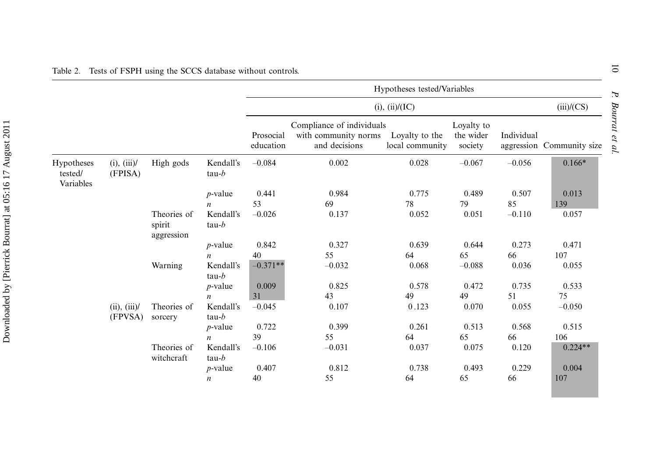|                                    |                        |                                     |                       | Hypotheses tested/Variables |                                                                    |                                   |                                    |            |                           |
|------------------------------------|------------------------|-------------------------------------|-----------------------|-----------------------------|--------------------------------------------------------------------|-----------------------------------|------------------------------------|------------|---------------------------|
|                                    |                        |                                     |                       | $(i)$ , $(ii)/(IC)$         |                                                                    |                                   |                                    |            | (iii)/(CS)                |
|                                    |                        |                                     |                       | Prosocial<br>education      | Compliance of individuals<br>with community norms<br>and decisions | Loyalty to the<br>local community | Loyalty to<br>the wider<br>society | Individual | aggression Community size |
| Hypotheses<br>tested/<br>Variables | (i), (iii)<br>(FPISA)  | High gods                           | Kendall's<br>$tau-b$  | $-0.084$                    | 0.002                                                              | 0.028                             | $-0.067$                           | $-0.056$   | $0.166*$                  |
|                                    |                        |                                     | $p$ -value            | 0.441                       | 0.984                                                              | 0.775                             | 0.489                              | 0.507      | 0.013                     |
|                                    |                        |                                     | $\boldsymbol{n}$      | 53                          | 69                                                                 | 78                                | 79                                 | 85         | 139                       |
|                                    |                        | Theories of<br>spirit<br>aggression | Kendall's<br>tau- $b$ | $-0.026$                    | 0.137                                                              | 0.052                             | 0.051                              | $-0.110$   | 0.057                     |
|                                    |                        |                                     | $p$ -value            | 0.842                       | 0.327                                                              | 0.639                             | 0.644                              | 0.273      | 0.471                     |
|                                    |                        |                                     | $\boldsymbol{n}$      | 40                          | 55                                                                 | 64                                | 65                                 | 66         | 107                       |
|                                    |                        | Warning                             | Kendall's<br>$tau-b$  | $-0.371**$                  | $-0.032$                                                           | 0.068                             | $-0.088$                           | 0.036      | 0.055                     |
|                                    |                        |                                     | $p$ -value            | 0.009                       | 0.825                                                              | 0.578                             | 0.472                              | 0.735      | 0.533                     |
|                                    |                        |                                     | $\boldsymbol{n}$      | 31                          | 43                                                                 | 49                                | 49                                 | 51         | 75                        |
|                                    | (ii), (iii)<br>(FPVSA) | Theories of<br>sorcery              | Kendall's<br>$tau-b$  | $-0.045$                    | 0.107                                                              | 0.123                             | 0.070                              | 0.055      | $-0.050$                  |
|                                    |                        |                                     | $p$ -value            | 0.722                       | 0.399                                                              | 0.261                             | 0.513                              | 0.568      | 0.515                     |
|                                    |                        |                                     | $\boldsymbol{n}$      | 39                          | 55                                                                 | 64                                | 65                                 | 66         | 106                       |
|                                    |                        | Theories of<br>witchcraft           | Kendall's<br>$tau-b$  | $-0.106$                    | $-0.031$                                                           | 0.037                             | 0.075                              | 0.120      | $0.224**$                 |
|                                    |                        |                                     | $p$ -value            | 0.407                       | 0.812                                                              | 0.738                             | 0.493                              | 0.229      | 0.004                     |
|                                    |                        |                                     | $\boldsymbol{n}$      | 40                          | 55                                                                 | 64                                | 65                                 | 66         | 107                       |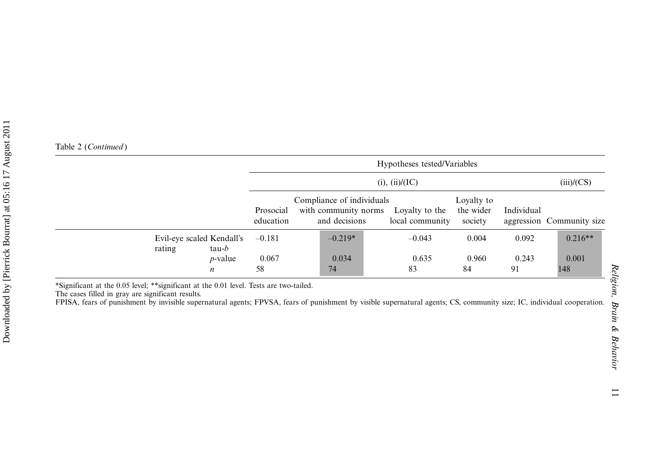|                                                | $(i)$ , $(ii)/(IC)$    |                                                                                   |                 |                                    |             | (iii)/(CS)                |
|------------------------------------------------|------------------------|-----------------------------------------------------------------------------------|-----------------|------------------------------------|-------------|---------------------------|
|                                                | Prosocial<br>education | Compliance of individuals<br>with community norms Loyalty to the<br>and decisions | local community | Loyalty to<br>the wider<br>society | Individual  | aggression Community size |
| Evil-eye scaled Kendall's<br>rating<br>$tau-b$ | $-0.181$               | $-0.219*$                                                                         | $-0.043$        | 0.004                              | 0.092       | $0.216**$                 |
| $p$ -value<br>$\boldsymbol{n}$                 | 0.067<br>58            | 0.034<br>74                                                                       | 0.635<br>83     | 0.960<br>84                        | 0.243<br>91 | 0.001<br>148              |

\*Significant at the 0.05 level; \*\*significant at the 0.01 level. Tests are two-tailed.

The cases filled in gray are significant results.

FPISA, fears of punishment by invisible supernatural agents; FPVSA, fears of punishment by visible supernatural agents; CS, community size; IC, individual cooperation.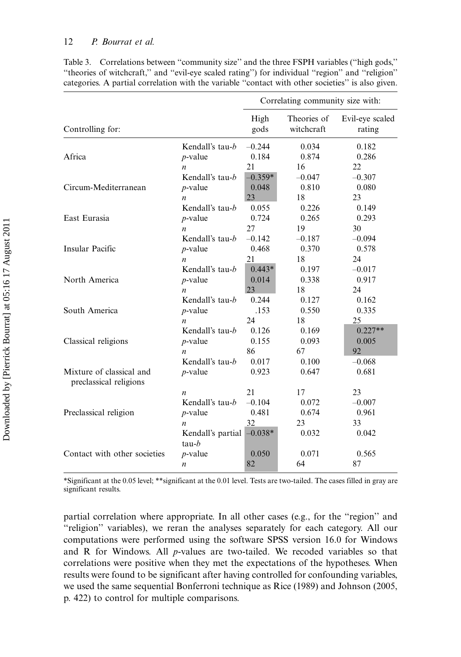#### 12 P. Bourrat et al.

|                              |                                                              | Correlating community size with: |                           |                           |  |  |
|------------------------------|--------------------------------------------------------------|----------------------------------|---------------------------|---------------------------|--|--|
| Controlling for:             |                                                              | High<br>gods                     | Theories of<br>witchcraft | Evil-eye scaled<br>rating |  |  |
| Africa                       | Kendall's tau-b                                              | $-0.244$                         | 0.034                     | 0.182                     |  |  |
|                              | $p$ -value                                                   | 0.184                            | 0.874                     | 0.286                     |  |  |
|                              | $\boldsymbol{n}$                                             | 21                               | 16                        | 22                        |  |  |
| Circum-Mediterranean         | Kendall's tau-b                                              | $-0.359*$                        | $-0.047$                  | $-0.307$                  |  |  |
|                              | $p$ -value                                                   | 0.048                            | 0.810                     | 0.080                     |  |  |
|                              | $\boldsymbol{n}$                                             | 23                               | 18                        | 23                        |  |  |
| East Eurasia                 | Kendall's tau-b                                              | 0.055                            | 0.226                     | 0.149                     |  |  |
|                              | $p$ -value                                                   | 0.724                            | 0.265                     | 0.293                     |  |  |
|                              | $\boldsymbol{n}$                                             | 27                               | 19                        | 30                        |  |  |
| Insular Pacific              | Kendall's tau-b                                              | $-0.142$                         | $-0.187$                  | $-0.094$                  |  |  |
|                              | $p$ -value                                                   | 0.468                            | 0.370                     | 0.578                     |  |  |
|                              | $\boldsymbol{n}$                                             | 21                               | 18                        | 24                        |  |  |
| North America                | Kendall's tau-b                                              | $0.443*$                         | 0.197                     | $-0.017$                  |  |  |
|                              | $p$ -value                                                   | 0.014                            | 0.338                     | 0.917                     |  |  |
|                              | $\boldsymbol{n}$                                             | 23                               | 18                        | 24                        |  |  |
| South America                | Kendall's tau-b                                              | 0.244                            | 0.127                     | 0.162                     |  |  |
|                              | $p$ -value                                                   | .153                             | 0.550                     | 0.335                     |  |  |
|                              | $\boldsymbol{n}$                                             | 24                               | 18                        | 25                        |  |  |
| Classical religions          | Kendall's tau-b                                              | 0.126                            | 0.169                     | $0.227**$                 |  |  |
|                              | $p$ -value                                                   | 0.155                            | 0.093                     | 0.005                     |  |  |
|                              | n                                                            | 86                               | 67                        | 92                        |  |  |
| Mixture of classical and     | Kendall's tau-b                                              | 0.017                            | 0.100                     | $-0.068$                  |  |  |
| preclassical religions       | $p$ -value                                                   | 0.923                            | 0.647                     | 0.681                     |  |  |
| Preclassical religion        | $\boldsymbol{n}$                                             | 21                               | 17                        | 23                        |  |  |
|                              | Kendall's tau-b                                              | $-0.104$                         | 0.072                     | $-0.007$                  |  |  |
|                              | $p$ -value                                                   | 0.481                            | 0.674                     | 0.961                     |  |  |
|                              | $\boldsymbol{n}$                                             | 32                               | 23                        | 33                        |  |  |
| Contact with other societies | Kendall's partial<br>tau-b<br>$p$ -value<br>$\boldsymbol{n}$ | $-0.038*$<br>0.050<br>82         | 0.032<br>0.071<br>64      | 0.042<br>0.565<br>87      |  |  |

Table 3. Correlations between ''community size'' and the three FSPH variables (''high gods,'' ''theories of witchcraft,'' and ''evil-eye scaled rating'') for individual ''region'' and ''religion'' categories. A partial correlation with the variable ''contact with other societies'' is also given.

\*Significant at the 0.05 level; \*\*significant at the 0.01 level. Tests are two-tailed. The cases filled in gray are significant results.

partial correlation where appropriate. In all other cases (e.g., for the "region" and ''religion'' variables), we reran the analyses separately for each category. All our computations were performed using the software SPSS version 16.0 for Windows and  $R$  for Windows. All  $p$ -values are two-tailed. We recoded variables so that correlations were positive when they met the expectations of the hypotheses. When results were found to be significant after having controlled for confounding variables, we used the same sequential Bonferroni technique as Rice (1989) and Johnson (2005, p. 422) to control for multiple comparisons.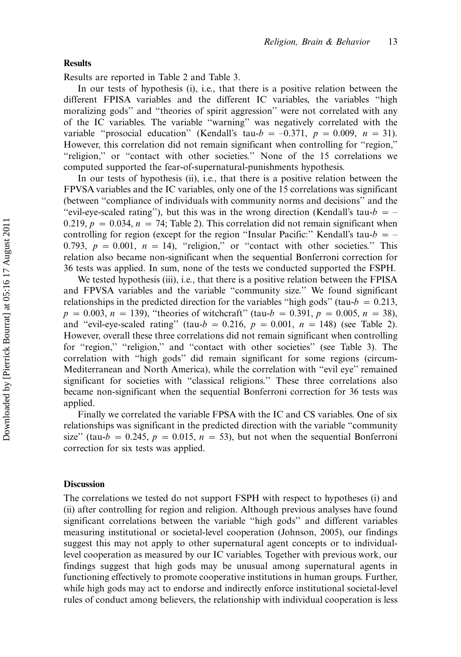#### Results

Results are reported in Table 2 and Table 3.

In our tests of hypothesis (i), i.e., that there is a positive relation between the different FPISA variables and the different IC variables, the variables ''high moralizing gods'' and ''theories of spirit aggression'' were not correlated with any of the IC variables. The variable ''warning'' was negatively correlated with the variable "prosocial education" (Kendall's tau- $b = -0.371$ ,  $p = 0.009$ ,  $n = 31$ ). However, this correlation did not remain significant when controlling for ''region,'' ''religion,'' or ''contact with other societies.'' None of the 15 correlations we computed supported the fear-of-supernatural-punishments hypothesis.

In our tests of hypothesis (ii), i.e., that there is a positive relation between the FPVSA variables and the IC variables, only one of the 15 correlations was significant (between ''compliance of individuals with community norms and decisions'' and the "evil-eye-scaled rating"), but this was in the wrong direction (Kendall's tau- $b = -$ 0.219,  $p = 0.034$ ,  $n = 74$ ; Table 2). This correlation did not remain significant when controlling for region (except for the region "Insular Pacific:" Kendall's tau- $b = -$ 0.793,  $p = 0.001$ ,  $n = 14$ ), "religion," or "contact with other societies." This relation also became non-significant when the sequential Bonferroni correction for 36 tests was applied. In sum, none of the tests we conducted supported the FSPH.

We tested hypothesis (iii), i.e., that there is a positive relation between the FPISA and FPVSA variables and the variable ''community size.'' We found significant relationships in the predicted direction for the variables "high gods" (tau- $b = 0.213$ ,  $p = 0.003$ ,  $n = 139$ ), "theories of witchcraft" (tau- $b = 0.391$ ,  $p = 0.005$ ,  $n = 38$ ), and "evil-eye-scaled rating" (tau- $b = 0.216$ ,  $p = 0.001$ ,  $n = 148$ ) (see Table 2). However, overall these three correlations did not remain significant when controlling for "region," "religion," and "contact with other societies" (see Table 3). The correlation with ''high gods'' did remain significant for some regions (circum-Mediterranean and North America), while the correlation with ''evil eye'' remained significant for societies with ''classical religions.'' These three correlations also became non-significant when the sequential Bonferroni correction for 36 tests was applied.

Finally we correlated the variable FPSA with the IC and CS variables. One of six relationships was significant in the predicted direction with the variable ''community size" (tau- $b = 0.245$ ,  $p = 0.015$ ,  $n = 53$ ), but not when the sequential Bonferroni correction for six tests was applied.

#### **Discussion**

The correlations we tested do not support FSPH with respect to hypotheses (i) and (ii) after controlling for region and religion. Although previous analyses have found significant correlations between the variable ''high gods'' and different variables measuring institutional or societal-level cooperation (Johnson, 2005), our findings suggest this may not apply to other supernatural agent concepts or to individuallevel cooperation as measured by our IC variables. Together with previous work, our findings suggest that high gods may be unusual among supernatural agents in functioning effectively to promote cooperative institutions in human groups. Further, while high gods may act to endorse and indirectly enforce institutional societal-level rules of conduct among believers, the relationship with individual cooperation is less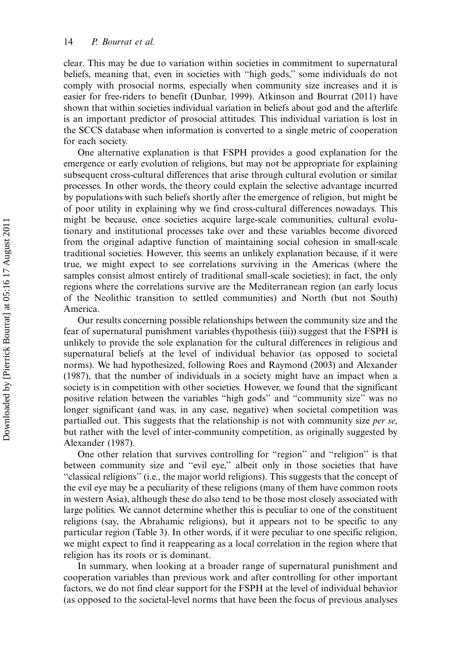clear. This may be due to variation within societies in commitment to supernatural beliefs, meaning that, even in societies with ''high gods,'' some individuals do not comply with prosocial norms, especially when community size increases and it is easier for free-riders to benefit (Dunbar, 1999). Atkinson and Bourrat (2011) have shown that within societies individual variation in beliefs about god and the afterlife is an important predictor of prosocial attitudes. This individual variation is lost in the SCCS database when information is converted to a single metric of cooperation for each society.

One alternative explanation is that FSPH provides a good explanation for the emergence or early evolution of religions, but may not be appropriate for explaining subsequent cross-cultural differences that arise through cultural evolution or similar processes. In other words, the theory could explain the selective advantage incurred by populations with such beliefs shortly after the emergence of religion, but might be of poor utility in explaining why we find cross-cultural differences nowadays. This might be because, once societies acquire large-scale communities, cultural evolutionary and institutional processes take over and these variables become divorced from the original adaptive function of maintaining social cohesion in small-scale traditional societies. However, this seems an unlikely explanation because, if it were true, we might expect to see correlations surviving in the Americas (where the samples consist almost entirely of traditional small-scale societies); in fact, the only regions where the correlations survive are the Mediterranean region (an early locus of the Neolithic transition to settled communities) and North (but not South) America.

Our results concerning possible relationships between the community size and the fear of supernatural punishment variables (hypothesis (iii)) suggest that the FSPH is unlikely to provide the sole explanation for the cultural differences in religious and supernatural beliefs at the level of individual behavior (as opposed to societal norms). We had hypothesized, following Roes and Raymond (2003) and Alexander (1987), that the number of individuals in a society might have an impact when a society is in competition with other societies. However, we found that the significant positive relation between the variables ''high gods'' and ''community size'' was no longer significant (and was, in any case, negative) when societal competition was partialled out. This suggests that the relationship is not with community size *per se*, but rather with the level of inter-community competition, as originally suggested by Alexander (1987).

One other relation that survives controlling for ''region'' and ''religion'' is that between community size and ''evil eye,'' albeit only in those societies that have ''classical religions'' (i.e., the major world religions). This suggests that the concept of the evil eye may be a peculiarity of these religions (many of them have common roots in western Asia), although these do also tend to be those most closely associated with large polities. We cannot determine whether this is peculiar to one of the constituent religions (say, the Abrahamic religions), but it appears not to be specific to any particular region (Table 3). In other words, if it were peculiar to one specific religion, we might expect to find it reappearing as a local correlation in the region where that religion has its roots or is dominant.

In summary, when looking at a broader range of supernatural punishment and cooperation variables than previous work and after controlling for other important factors, we do not find clear support for the FSPH at the level of individual behavior (as opposed to the societal-level norms that have been the focus of previous analyses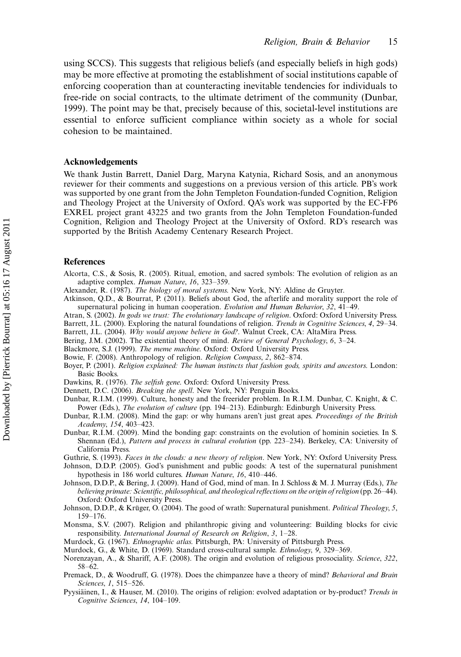using SCCS). This suggests that religious beliefs (and especially beliefs in high gods) may be more effective at promoting the establishment of social institutions capable of enforcing cooperation than at counteracting inevitable tendencies for individuals to free-ride on social contracts, to the ultimate detriment of the community (Dunbar, 1999). The point may be that, precisely because of this, societal-level institutions are essential to enforce sufficient compliance within society as a whole for social cohesion to be maintained.

#### Acknowledgements

We thank Justin Barrett, Daniel Darg, Maryna Katynia, Richard Sosis, and an anonymous reviewer for their comments and suggestions on a previous version of this article. PB's work was supported by one grant from the John Templeton Foundation-funded Cognition, Religion and Theology Project at the University of Oxford. QA's work was supported by the EC-FP6 EXREL project grant 43225 and two grants from the John Templeton Foundation-funded Cognition, Religion and Theology Project at the University of Oxford. RD's research was supported by the British Academy Centenary Research Project.

#### References

- Alcorta, C.S., & Sosis, R. (2005). Ritual, emotion, and sacred symbols: The evolution of religion as an adaptive complex. Human Nature, 16, 323-359.
- Alexander, R. (1987). The biology of moral systems. New York, NY: Aldine de Gruyter.
- Atkinson, Q.D., & Bourrat, P. (2011). Beliefs about God, the afterlife and morality support the role of supernatural policing in human cooperation. Evolution and Human Behavior,  $32$ ,  $41-49$ .
- Atran, S. (2002). In gods we trust: The evolutionary landscape of religion. Oxford: Oxford University Press.
- Barrett, J.L. (2000). Exploring the natural foundations of religion. Trends in Cognitive Sciences, 4, 29–34.
- Barrett, J.L. (2004). Why would anyone believe in God?. Walnut Creek, CA: AltaMira Press.
- Bering, J.M. (2002). The existential theory of mind. Review of General Psychology, 6, 3-24.
- Blackmore, S.J. (1999). The meme machine. Oxford: Oxford University Press.
- Bowie, F. (2008). Anthropology of religion. Religion Compass, 2, 862-874.
- Boyer, P. (2001). Religion explained: The human instincts that fashion gods, spirits and ancestors. London: Basic Books.
- Dawkins, R. (1976). The selfish gene. Oxford: Oxford University Press.
- Dennett, D.C. (2006). Breaking the spell. New York, NY: Penguin Books.
- Dunbar, R.I.M. (1999). Culture, honesty and the freerider problem. In R.I.M. Dunbar, C. Knight, & C. Power (Eds.), The evolution of culture (pp. 194-213). Edinburgh: Edinburgh University Press.
- Dunbar, R.I.M. (2008). Mind the gap: or why humans aren't just great apes. Proceedings of the British Academy, 154, 403-423.
- Dunbar, R.I.M. (2009). Mind the bonding gap: constraints on the evolution of hominin societies. In S. Shennan (Ed.), Pattern and process in cultural evolution (pp. 223-234). Berkeley, CA: University of California Press.

Guthrie, S. (1993). Faces in the clouds: a new theory of religion. New York, NY: Oxford University Press.

- Johnson, D.D.P. (2005). God's punishment and public goods: A test of the supernatural punishment hypothesis in 186 world cultures. Human Nature, 16, 410-446.
- Johnson, D.D.P., & Bering, J. (2009). Hand of God, mind of man. In J. Schloss & M. J. Murray (Eds.), The believing primate: Scientific, philosophical, and theological reflections on the origin of religion (pp. 26-44). Oxford: Oxford University Press.
- Johnson, D.D.P., & Krüger, O. (2004). The good of wrath: Supernatural punishment. Political Theology, 5, 159-176.
- Monsma, S.V. (2007). Religion and philanthropic giving and volunteering: Building blocks for civic responsibility. International Journal of Research on Religion, 3, 1-28.
- Murdock, G. (1967). Ethnographic atlas. Pittsburgh, PA: University of Pittsburgh Press.
- Murdock, G., & White, D. (1969). Standard cross-cultural sample. Ethnology, 9, 329-369.
- Norenzayan, A., & Shariff, A.F. (2008). The origin and evolution of religious prosociality. Science, 322,  $58 - 62.$
- Premack, D., & Woodruff, G. (1978). Does the chimpanzee have a theory of mind? Behavioral and Brain Sciences, 1, 515-526.
- Pyysiainen, I., & Hauser, M. (2010). The origins of religion: evolved adaptation or by-product? Trends in Cognitive Sciences, 14, 104-109.